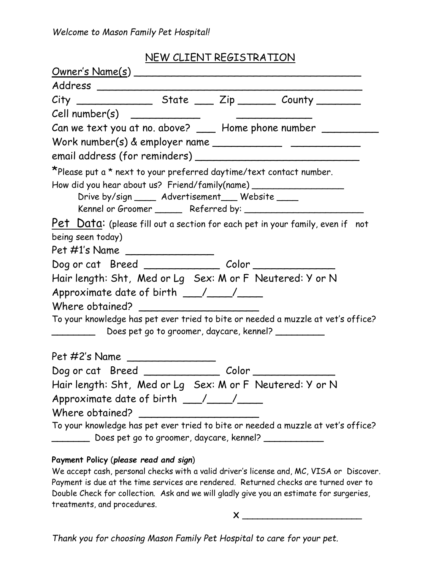## *Welcome to Mason Family Pet Hospital!*

## NEW CLIENT REGISTRATION

| <u> Owner's Name(s)</u>                                                                                                                                                                                                                                                                                                                                                                    |
|--------------------------------------------------------------------------------------------------------------------------------------------------------------------------------------------------------------------------------------------------------------------------------------------------------------------------------------------------------------------------------------------|
| Address _______________                                                                                                                                                                                                                                                                                                                                                                    |
|                                                                                                                                                                                                                                                                                                                                                                                            |
|                                                                                                                                                                                                                                                                                                                                                                                            |
| Can we text you at no. above? ___ Home phone number _________                                                                                                                                                                                                                                                                                                                              |
| Work number(s) & employer name $\frac{1}{\sqrt{1-\frac{1}{2}}}\frac{1}{\sqrt{1-\frac{1}{2}}\sqrt{1-\frac{1}{2}}\sqrt{1-\frac{1}{2}}\sqrt{1-\frac{1}{2}}\sqrt{1-\frac{1}{2}}\sqrt{1-\frac{1}{2}}\sqrt{1-\frac{1}{2}}\sqrt{1-\frac{1}{2}}\sqrt{1-\frac{1}{2}}\sqrt{1-\frac{1}{2}}\sqrt{1-\frac{1}{2}}\sqrt{1-\frac{1}{2}}\sqrt{1-\frac{1}{2}}\sqrt{1-\frac{1}{2}}\sqrt{1-\frac{1}{2}}\sqrt{$ |
|                                                                                                                                                                                                                                                                                                                                                                                            |
| *Please put a * next to your preferred daytime/text contact number.                                                                                                                                                                                                                                                                                                                        |
| How did you hear about us? Friend/family(name) _________________________________                                                                                                                                                                                                                                                                                                           |
| Drive by/sign _____ Advertisement___ Website ____                                                                                                                                                                                                                                                                                                                                          |
|                                                                                                                                                                                                                                                                                                                                                                                            |
| Pet Data: (please fill out a section for each pet in your family, even if not                                                                                                                                                                                                                                                                                                              |
| being seen today)                                                                                                                                                                                                                                                                                                                                                                          |
| Pet #1's Name ________________                                                                                                                                                                                                                                                                                                                                                             |
| Dog or cat Breed ____________ Color _________                                                                                                                                                                                                                                                                                                                                              |
| Hair length: Sht, Med or Lg Sex: M or F Neutered: Y or N                                                                                                                                                                                                                                                                                                                                   |
| Approximate date of birth $\_\_\_\/$                                                                                                                                                                                                                                                                                                                                                       |
| Where obtained?                                                                                                                                                                                                                                                                                                                                                                            |
| To your knowledge has pet ever tried to bite or needed a muzzle at vet's office?<br>Does pet go to groomer, daycare, kennel? _________                                                                                                                                                                                                                                                     |
|                                                                                                                                                                                                                                                                                                                                                                                            |
| Pet #2's Name ________________                                                                                                                                                                                                                                                                                                                                                             |
|                                                                                                                                                                                                                                                                                                                                                                                            |
| Hair length: Sht, Med or Lg Sex: M or F Neutered: Y or N                                                                                                                                                                                                                                                                                                                                   |
|                                                                                                                                                                                                                                                                                                                                                                                            |
| Where obtained?                                                                                                                                                                                                                                                                                                                                                                            |
| To your knowledge has pet ever tried to bite or needed a muzzle at vet's office?                                                                                                                                                                                                                                                                                                           |
| _______ Does pet go to groomer, daycare, kennel? ____________                                                                                                                                                                                                                                                                                                                              |
| Payment Policy (please read and sign)                                                                                                                                                                                                                                                                                                                                                      |

## We accept cash, personal checks with a valid driver's license and, MC, VISA or Discover. Payment is due at the time services are rendered. Returned checks are turned over to Double Check for collection. Ask and we will gladly give you an estimate for surgeries, treatments, and procedures.

**X \_\_\_\_\_\_\_\_\_\_\_\_\_\_\_\_\_\_\_\_\_\_\_\_**

*Thank you for choosing Mason Family Pet Hospital to care for your pet.*